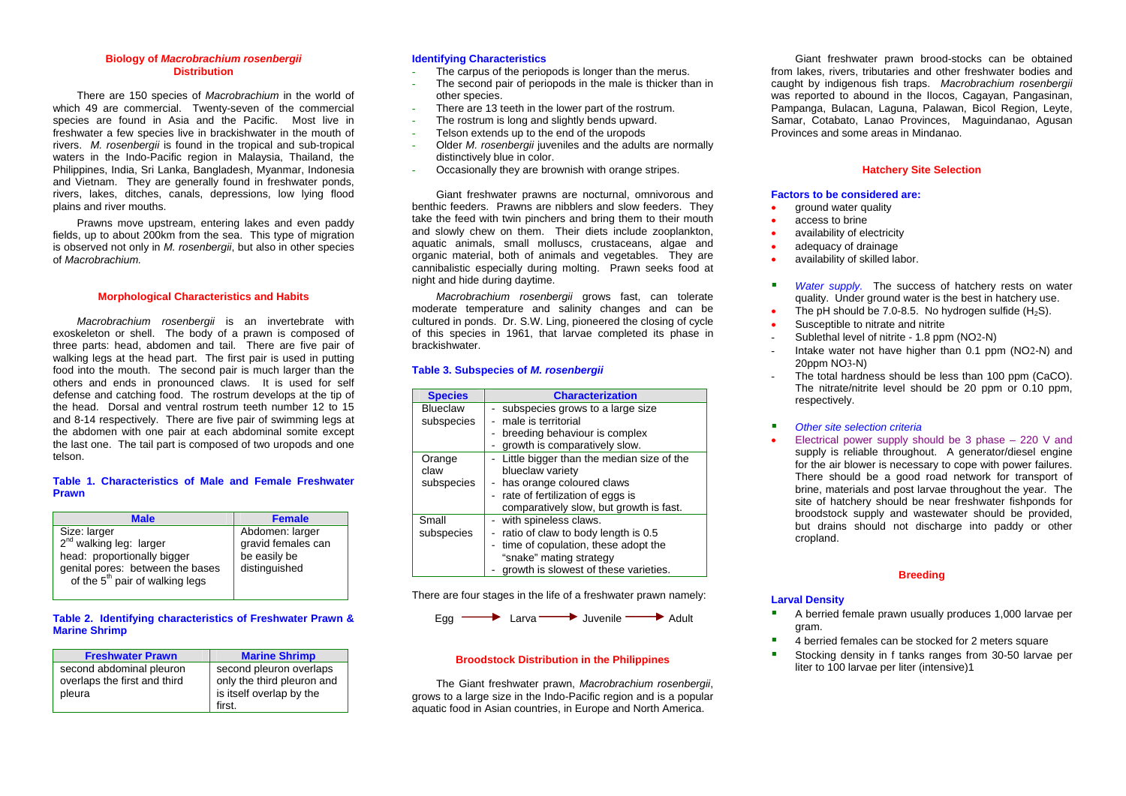#### **Biology of** *Macrobrachium rosenbergii*  **Distribution**

 There are 150 species of *Macrobrachium* in the world of which 49 are commercial. Twenty-seven of the commercial species are found in Asia and the Pacific. Most live in freshwater a few species live in brackishwater in the mouth of rivers. *M. rosenbergii* is found in the tropical and sub-tropical waters in the Indo-Pacific region in Malaysia, Thailand, the Philippines, India, Sri Lanka, Bangladesh, Myanmar, Indonesia and Vietnam. They are generally found in freshwater ponds, rivers, lakes, ditches, canals, depressions, low lying flood plains and river mouths.

 Prawns move upstream, entering lakes and even paddy fields, up to about 200km from the sea. This type of migration is observed not only in *M. rosenbergii*, but also in other species of *Macrobrachium.*

#### **Morphological Characteristics and Habits**

 *Macrobrachium rosenbergii* is an invertebrate with exoskeleton or shell. The body of a prawn is composed of three parts: head, abdomen and tail. There are five pair of walking legs at the head part. The first pair is used in putting food into the mouth. The second pair is much larger than the others and ends in pronounced claws. It is used for self defense and catching food. The rostrum develops at the tip of the head. Dorsal and ventral rostrum teeth number 12 to 15 and 8-14 respectively. There are five pair of swimming legs at the abdomen with one pair at each abdominal somite except the last one. The tail part is composed of two uropods and one telson.

#### **Table 1. Characteristics of Male and Female Freshwater Prawn**

| <b>Male</b>                                 | <b>Female</b>      |
|---------------------------------------------|--------------------|
| Size: larger                                | Abdomen: larger    |
| 2 <sup>nd</sup> walking leg: larger         | gravid females can |
| head: proportionally bigger                 | be easily be       |
| genital pores: between the bases            | distinguished      |
| of the 5 <sup>th</sup> pair of walking legs |                    |

#### **Table 2. Identifying characteristics of Freshwater Prawn & Marine Shrimp**

| <b>Freshwater Prawn</b>                                  | <b>Marine Shrimp</b>                                  |
|----------------------------------------------------------|-------------------------------------------------------|
| second abdominal pleuron<br>overlaps the first and third | second pleuron overlaps<br>only the third pleuron and |
| pleura                                                   | is itself overlap by the                              |
|                                                          | first.                                                |

#### **Identifying Characteristics**

- The carpus of the periopods is longer than the merus.
- The second pair of periopods in the male is thicker than in other species.
- -There are 13 teeth in the lower part of the rostrum.
- The rostrum is long and slightly bends upward.
- Telson extends up to the end of the uropods
- Older *M. rosenbergii* juveniles and the adults are normally distinctively blue in color.
- -Occasionally they are brownish with orange stripes.

 Giant freshwater prawns are nocturnal, omnivorous and benthic feeders. Prawns are nibblers and slow feeders. They take the feed with twin pinchers and bring them to their mouth and slowly chew on them. Their diets include zooplankton, aquatic animals, small molluscs, crustaceans, algae and organic material, both of animals and vegetables. They are cannibalistic especially during molting. Prawn seeks food at night and hide during daytime.

 *Macrobrachium rosenbergii* grows fast, can tolerate moderate temperature and salinity changes and can be cultured in ponds. Dr. S.W. Ling, pioneered the closing of cycle of this species in 1961, that larvae completed its phase in brackishwater.

## **Table 3. Subspecies of** *M. rosenbergii*

| <b>Species</b>  | <b>Characterization</b>                     |
|-----------------|---------------------------------------------|
| <b>Blueclaw</b> | - subspecies grows to a large size          |
| subspecies      | male is territorial                         |
|                 | - breeding behaviour is complex             |
|                 | growth is comparatively slow.               |
| Orange          | - Little bigger than the median size of the |
| claw            | blueclaw variety                            |
| subspecies      | - has orange coloured claws                 |
|                 | - rate of fertilization of eggs is          |
|                 | comparatively slow, but growth is fast.     |
| Small           | - with spineless claws.                     |
| subspecies      | ratio of claw to body length is 0.5         |
|                 | - time of copulation, these adopt the       |
|                 | "snake" mating strategy                     |
|                 | growth is slowest of these varieties.       |

There are four stages in the life of a freshwater prawn namely:



#### **Broodstock Distribution in the Philippines**

 The Giant freshwater prawn, *Macrobrachium rosenbergii*, grows to a large size in the Indo-Pacific region and is a popular aquatic food in Asian countries, in Europe and North America.

 Giant freshwater prawn brood-stocks can be obtained from lakes, rivers, tributaries and other freshwater bodies and caught by indigenous fish traps. *Macrobrachium rosenbergii*  was reported to abound in the Ilocos, Cagayan, Pangasinan, Pampanga, Bulacan, Laguna, Palawan, Bicol Region, Leyte, Samar, Cotabato, Lanao Provinces, Maguindanao, Agusan Provinces and some areas in Mindanao.

#### **Hatchery Site Selection**

#### **Factors to be considered are:**

- •ground water quality
- •access to brine
- •availability of electricity
- •adequacy of drainage
- •availability of skilled labor.
- $\mathbf{r}$ *Water supply.* The success of hatchery rests on water quality. Under ground water is the best in hatchery use.
- •The pH should be  $7.0-8.5$ . No hydrogen sulfide  $(H_2S)$ .
- •Susceptible to nitrate and nitrite
- Sublethal level of nitrite 1.8 ppm (NO2-N)
- Intake water not have higher than 0.1 ppm (NO2-N) and 20ppm NO3-N)
- The total hardness should be less than 100 ppm (CaCO). The nitrate/nitrite level should be 20 ppm or 0.10 ppm, respectively.
- $\mathbf{u}$ *Other site selection criteria*
- •Electrical power supply should be 3 phase – 220 V and supply is reliable throughout. A generator/diesel engine for the air blower is necessary to cope with power failures. There should be a good road network for transport of brine, materials and post larvae throughout the year. The site of hatchery should be near freshwater fishponds for broodstock supply and wastewater should be provided, but drains should not discharge into paddy or other cropland.

## **Breeding**

#### **Larval Density**

- г A berried female prawn usually produces 1,000 larvae per gram.
- 4 berried females can be stocked for 2 meters square
- ٠ Stocking density in f tanks ranges from 30-50 larvae per liter to 100 larvae per liter (intensive)1